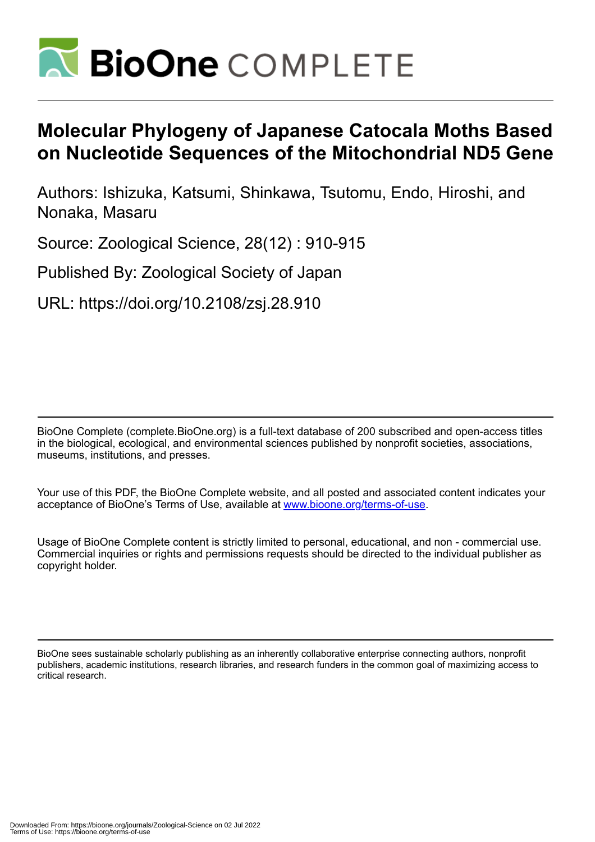

# **Molecular Phylogeny of Japanese Catocala Moths Based on Nucleotide Sequences of the Mitochondrial ND5 Gene**

Authors: Ishizuka, Katsumi, Shinkawa, Tsutomu, Endo, Hiroshi, and Nonaka, Masaru

Source: Zoological Science, 28(12) : 910-915

Published By: Zoological Society of Japan

URL: https://doi.org/10.2108/zsj.28.910

BioOne Complete (complete.BioOne.org) is a full-text database of 200 subscribed and open-access titles in the biological, ecological, and environmental sciences published by nonprofit societies, associations, museums, institutions, and presses.

Your use of this PDF, the BioOne Complete website, and all posted and associated content indicates your acceptance of BioOne's Terms of Use, available at www.bioone.org/terms-of-use.

Usage of BioOne Complete content is strictly limited to personal, educational, and non - commercial use. Commercial inquiries or rights and permissions requests should be directed to the individual publisher as copyright holder.

BioOne sees sustainable scholarly publishing as an inherently collaborative enterprise connecting authors, nonprofit publishers, academic institutions, research libraries, and research funders in the common goal of maximizing access to critical research.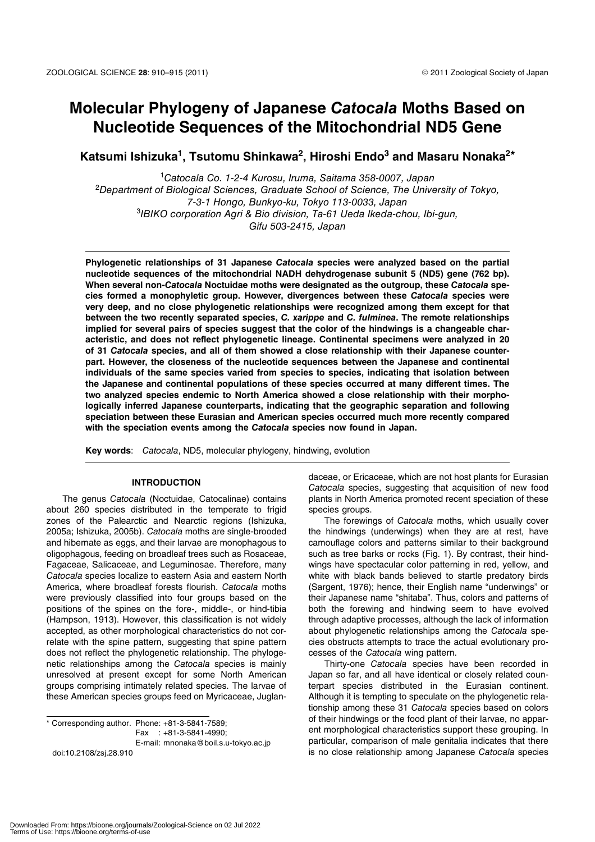# **Molecular Phylogeny of Japanese** *Catocala* **Moths Based on Nucleotide Sequences of the Mitochondrial ND5 Gene**

Katsumi Ishizuka<sup>1</sup>, Tsutomu Shinkawa<sup>2</sup>, Hiroshi Endo<sup>3</sup> and Masaru Nonaka<sup>2\*</sup>

1 Catocala Co. 1-2-4 Kurosu, Iruma, Saitama 358-0007, Japan <sup>2</sup>Department of Biological Sciences, Graduate School of Science, The University of Tokyo, 7-3-1 Hongo, Bunkyo-ku, Tokyo 113-0033, Japan 3 IBIKO corporation Agri & Bio division, Ta-61 Ueda Ikeda-chou, Ibi-gun, Gifu 503-2415, Japan

**Phylogenetic relationships of 31 Japanese** *Catocala* **species were analyzed based on the partial nucleotide sequences of the mitochondrial NADH dehydrogenase subunit 5 (ND5) gene (762 bp). When several non-***Catocala* **Noctuidae moths were designated as the outgroup, these** *Catocala* **species formed a monophyletic group. However, divergences between these** *Catocala* **species were very deep, and no close phylogenetic relationships were recognized among them except for that between the two recently separated species,** *C. xarippe* **and** *C. fulminea***. The remote relationships implied for several pairs of species suggest that the color of the hindwings is a changeable characteristic, and does not reflect phylogenetic lineage. Continental specimens were analyzed in 20 of 31** *Catocala* **species, and all of them showed a close relationship with their Japanese counterpart. However, the closeness of the nucleotide sequences between the Japanese and continental individuals of the same species varied from species to species, indicating that isolation between the Japanese and continental populations of these species occurred at many different times. The two analyzed species endemic to North America showed a close relationship with their morphologically inferred Japanese counterparts, indicating that the geographic separation and following speciation between these Eurasian and American species occurred much more recently compared with the speciation events among the** *Catocala* **species now found in Japan.**

**Key words**: Catocala, ND5, molecular phylogeny, hindwing, evolution

# **INTRODUCTION**

The genus Catocala (Noctuidae, Catocalinae) contains about 260 species distributed in the temperate to frigid zones of the Palearctic and Nearctic regions (Ishizuka, 2005a; Ishizuka, 2005b). Catocala moths are single-brooded and hibernate as eggs, and their larvae are monophagous to oligophagous, feeding on broadleaf trees such as Rosaceae, Fagaceae, Salicaceae, and Leguminosae. Therefore, many Catocala species localize to eastern Asia and eastern North America, where broadleaf forests flourish. Catocala moths were previously classified into four groups based on the positions of the spines on the fore-, middle-, or hind-tibia (Hampson, 1913). However, this classification is not widely accepted, as other morphological characteristics do not correlate with the spine pattern, suggesting that spine pattern does not reflect the phylogenetic relationship. The phylogenetic relationships among the Catocala species is mainly unresolved at present except for some North American groups comprising intimately related species. The larvae of these American species groups feed on Myricaceae, Juglan-

\* Corresponding author. Phone: +81-3-5841-7589; Fax : +81-3-5841-4990; E-mail: mnonaka@boil.s.u-tokyo.ac.jp doi:10.2108/zsj.28.910

daceae, or Ericaceae, which are not host plants for Eurasian Catocala species, suggesting that acquisition of new food plants in North America promoted recent speciation of these species groups.

The forewings of Catocala moths, which usually cover the hindwings (underwings) when they are at rest, have camouflage colors and patterns similar to their background such as tree barks or rocks (Fig. 1). By contrast, their hindwings have spectacular color patterning in red, yellow, and white with black bands believed to startle predatory birds (Sargent, 1976); hence, their English name "underwings" or their Japanese name "shitaba". Thus, colors and patterns of both the forewing and hindwing seem to have evolved through adaptive processes, although the lack of information about phylogenetic relationships among the Catocala species obstructs attempts to trace the actual evolutionary processes of the Catocala wing pattern.

Thirty-one Catocala species have been recorded in Japan so far, and all have identical or closely related counterpart species distributed in the Eurasian continent. Although it is tempting to speculate on the phylogenetic relationship among these 31 Catocala species based on colors of their hindwings or the food plant of their larvae, no apparent morphological characteristics support these grouping. In particular, comparison of male genitalia indicates that there is no close relationship among Japanese Catocala species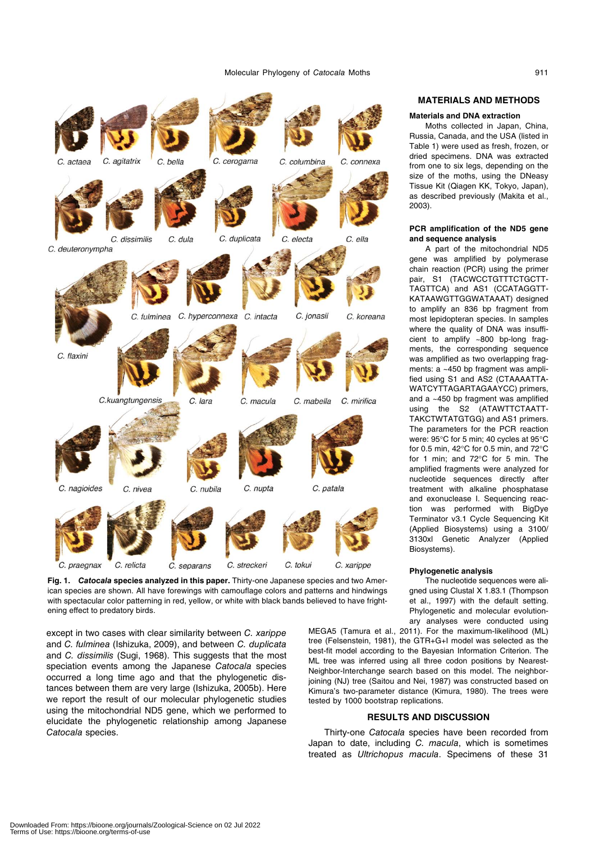

**Fig. 1.** *Catocala* **species analyzed in this paper.** Thirty-one Japanese species and two American species are shown. All have forewings with camouflage colors and patterns and hindwings with spectacular color patterning in red, yellow, or white with black bands believed to have frightening effect to predatory birds.

except in two cases with clear similarity between C. xarippe and C. fulminea (Ishizuka, 2009), and between C. duplicata and C. dissimilis (Sugi, 1968). This suggests that the most speciation events among the Japanese Catocala species occurred a long time ago and that the phylogenetic distances between them are very large (Ishizuka, 2005b). Here we report the result of our molecular phylogenetic studies using the mitochondrial ND5 gene, which we performed to elucidate the phylogenetic relationship among Japanese Catocala species.

# **MATERIALS AND METHODS**

### **Materials and DNA extraction**

Moths collected in Japan, China, Russia, Canada, and the USA (listed in Table 1) were used as fresh, frozen, or dried specimens. DNA was extracted from one to six legs, depending on the size of the moths, using the DNeasy Tissue Kit (Qiagen KK, Tokyo, Japan), as described previously (Makita et al., 2003).

#### **PCR amplification of the ND5 gene and sequence analysis**

A part of the mitochondrial ND5 gene was amplified by polymerase chain reaction (PCR) using the primer pair, S1 (TACWCCTGTTTCTGCTT-TAGTTCA) and AS1 (CCATAGGTT-KATAAWGTTGGWATAAAT) designed to amplify an 836 bp fragment from most lepidopteran species. In samples where the quality of DNA was insufficient to amplify ~800 bp-long fragments, the corresponding sequence was amplified as two overlapping fragments: a ~450 bp fragment was amplified using S1 and AS2 (CTAAAATTA-WATCYTTAGARTAGAAYCC) primers, and a ~450 bp fragment was amplified using the S2 (ATAWTTCTAATT-TAKCTWTATGTGG) and AS1 primers. The parameters for the PCR reaction were: 95°C for 5 min; 40 cycles at 95°C for 0.5 min, 42°C for 0.5 min, and 72°C for 1 min; and 72°C for 5 min. The amplified fragments were analyzed for nucleotide sequences directly after treatment with alkaline phosphatase and exonuclease I. Sequencing reaction was performed with BigDye Terminator v3.1 Cycle Sequencing Kit (Applied Biosystems) using a 3100/ 3130xl Genetic Analyzer (Applied Biosystems).

#### **Phylogenetic analysis**

The nucleotide sequences were aligned using Clustal X 1.83.1 (Thompson et al., 1997) with the default setting. Phylogenetic and molecular evolutionary analyses were conducted using

MEGA5 (Tamura et al., 2011). For the maximum-likelihood (ML) tree (Felsenstein, 1981), the GTR+G+I model was selected as the best-fit model according to the Bayesian Information Criterion. The ML tree was inferred using all three codon positions by Nearest-Neighbor-Interchange search based on this model. The neighborjoining (NJ) tree (Saitou and Nei, 1987) was constructed based on Kimura's two-parameter distance (Kimura, 1980). The trees were tested by 1000 bootstrap replications.

# **RESULTS AND DISCUSSION**

Thirty-one Catocala species have been recorded from Japan to date, including C. macula, which is sometimes treated as Ultrichopus macula. Specimens of these 31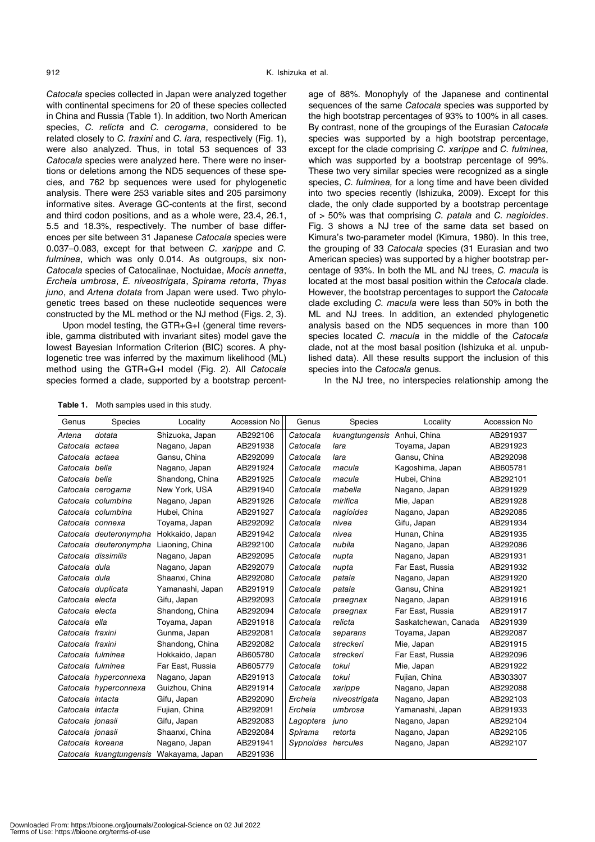Catocala species collected in Japan were analyzed together with continental specimens for 20 of these species collected in China and Russia (Table 1). In addition, two North American species, C. relicta and C. cerogama, considered to be related closely to C. fraxini and C. lara, respectively (Fig. 1), were also analyzed. Thus, in total 53 sequences of 33 Catocala species were analyzed here. There were no insertions or deletions among the ND5 sequences of these species, and 762 bp sequences were used for phylogenetic analysis. There were 253 variable sites and 205 parsimony informative sites. Average GC-contents at the first, second and third codon positions, and as a whole were, 23.4, 26.1, 5.5 and 18.3%, respectively. The number of base differences per site between 31 Japanese Catocala species were 0.037–0.083, except for that between C. xarippe and C. fulminea, which was only 0.014. As outgroups, six non-Catocala species of Catocalinae, Noctuidae, Mocis annetta, Ercheia umbrosa, E. niveostrigata, Spirama retorta, Thyas juno, and Artena dotata from Japan were used. Two phylogenetic trees based on these nucleotide sequences were constructed by the ML method or the NJ method (Figs. 2, 3).

Upon model testing, the GTR+G+I (general time reversible, gamma distributed with invariant sites) model gave the lowest Bayesian Information Criterion (BIC) scores. A phylogenetic tree was inferred by the maximum likelihood (ML) method using the GTR+G+I model (Fig. 2). All Catocala species formed a clade, supported by a bootstrap percent-

age of 88%. Monophyly of the Japanese and continental sequences of the same Catocala species was supported by the high bootstrap percentages of 93% to 100% in all cases. By contrast, none of the groupings of the Eurasian Catocala species was supported by a high bootstrap percentage, except for the clade comprising C. xarippe and C. fulminea. which was supported by a bootstrap percentage of 99%. These two very similar species were recognized as a single species, C. fulminea, for a long time and have been divided into two species recently (Ishizuka, 2009). Except for this clade, the only clade supported by a bootstrap percentage of > 50% was that comprising C. patala and C. nagioides. Fig. 3 shows a NJ tree of the same data set based on Kimura's two-parameter model (Kimura, 1980). In this tree, the grouping of 33 Catocala species (31 Eurasian and two American species) was supported by a higher bootstrap percentage of 93%. In both the ML and NJ trees, C. macula is located at the most basal position within the Catocala clade. However, the bootstrap percentages to support the Catocala clade excluding C. macula were less than 50% in both the ML and NJ trees. In addition, an extended phylogenetic analysis based on the ND5 sequences in more than 100 species located C. macula in the middle of the Catocala clade, not at the most basal position (Ishizuka et al. unpublished data). All these results support the inclusion of this species into the Catocala genus.

In the NJ tree, no interspecies relationship among the

**Table 1.** Moth samples used in this study.

| Genus            | Species                | Locality                                | Accession No | Genus              | Species                     | Locality             | Accession No |
|------------------|------------------------|-----------------------------------------|--------------|--------------------|-----------------------------|----------------------|--------------|
| Artena           | dotata                 | Shizuoka, Japan                         | AB292106     | Catocala           | kuangtungensis Anhui, China |                      | AB291937     |
| Catocala actaea  |                        | Nagano, Japan                           | AB291938     | Catocala           | lara                        | Toyama, Japan        | AB291923     |
| Catocala actaea  |                        | Gansu, China                            | AB292099     | Catocala           | lara                        | Gansu, China         | AB292098     |
| Catocala bella   |                        | Nagano, Japan                           | AB291924     | Catocala           | macula                      | Kagoshima, Japan     | AB605781     |
| Catocala bella   |                        | Shandong, China                         | AB291925     | Catocala           | macula                      | Hubei, China         | AB292101     |
|                  | Catocala cerogama      | New York, USA                           | AB291940     | Catocala           | mabella                     | Nagano, Japan        | AB291929     |
|                  | Catocala columbina     | Nagano, Japan                           | AB291926     | Catocala           | mirifica                    | Mie, Japan           | AB291928     |
|                  | Catocala columbina     | Hubei, China                            | AB291927     | Catocala           | nagioides                   | Nagano, Japan        | AB292085     |
|                  | Catocala connexa       | Toyama, Japan                           | AB292092     | Catocala           | nivea                       | Gifu, Japan          | AB291934     |
|                  | Catocala deuteronympha | Hokkaido, Japan                         | AB291942     | Catocala           | nivea                       | Hunan, China         | AB291935     |
|                  | Catocala deuteronympha | Liaoning, China                         | AB292100     | Catocala           | nubila                      | Nagano, Japan        | AB292086     |
|                  | Catocala dissimilis    | Nagano, Japan                           | AB292095     | Catocala           | nupta                       | Nagano, Japan        | AB291931     |
| Catocala dula    |                        | Nagano, Japan                           | AB292079     | Catocala           | nupta                       | Far East, Russia     | AB291932     |
| Catocala dula    |                        | Shaanxi, China                          | AB292080     | Catocala           | patala                      | Nagano, Japan        | AB291920     |
|                  | Catocala duplicata     | Yamanashi, Japan                        | AB291919     | Catocala           | patala                      | Gansu, China         | AB291921     |
| Catocala electa  |                        | Gifu, Japan                             | AB292093     | Catocala           | praegnax                    | Nagano, Japan        | AB291916     |
| Catocala electa  |                        | Shandong, China                         | AB292094     | Catocala           | praegnax                    | Far East, Russia     | AB291917     |
| Catocala ella    |                        | Toyama, Japan                           | AB291918     | Catocala           | relicta                     | Saskatchewan, Canada | AB291939     |
| Catocala fraxini |                        | Gunma, Japan                            | AB292081     | Catocala           | separans                    | Toyama, Japan        | AB292087     |
| Catocala fraxini |                        | Shandong, China                         | AB292082     | Catocala           | streckeri                   | Mie, Japan           | AB291915     |
|                  | Catocala fulminea      | Hokkaido, Japan                         | AB605780     | Catocala           | streckeri                   | Far East, Russia     | AB292096     |
|                  | Catocala fulminea      | Far East, Russia                        | AB605779     | Catocala           | tokui                       | Mie, Japan           | AB291922     |
|                  | Catocala hyperconnexa  | Nagano, Japan                           | AB291913     | Catocala           | tokui                       | Fujian, China        | AB303307     |
|                  | Catocala hyperconnexa  | Guizhou, China                          | AB291914     | Catocala           | xarippe                     | Nagano, Japan        | AB292088     |
| Catocala intacta |                        | Gifu, Japan                             | AB292090     | Ercheia            | niveostrigata               | Nagano, Japan        | AB292103     |
| Catocala intacta |                        | Fujian, China                           | AB292091     | Ercheia            | umbrosa                     | Yamanashi, Japan     | AB291933     |
| Catocala jonasii |                        | Gifu, Japan                             | AB292083     | Lagoptera          | juno                        | Nagano, Japan        | AB292104     |
| Catocala jonasii |                        | Shaanxi, China                          | AB292084     | Spirama            | retorta                     | Nagano, Japan        | AB292105     |
| Catocala koreana |                        | Nagano, Japan                           | AB291941     | Sypnoides hercules |                             | Nagano, Japan        | AB292107     |
|                  |                        | Catocala kuangtungensis Wakayama, Japan | AB291936     |                    |                             |                      |              |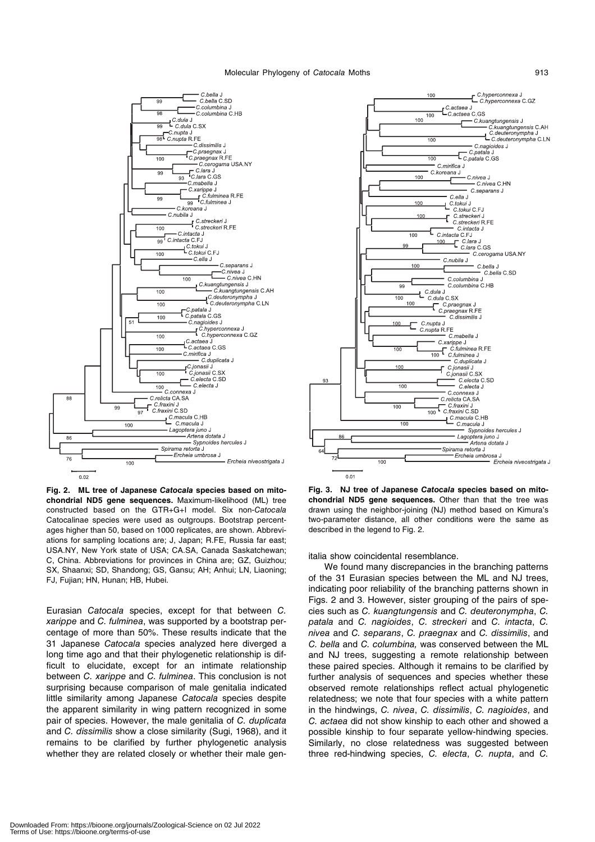#### Molecular Phylogeny of Catocala Moths **913**



**Fig. 2. ML tree of Japanese** *Catocala* **species based on mitochondrial ND5 gene sequences.** Maximum-likelihood (ML) tree constructed based on the GTR+G+I model. Six non-Catocala Catocalinae species were used as outgroups. Bootstrap percentages higher than 50, based on 1000 replicates, are shown. Abbreviations for sampling locations are; J, Japan; R.FE, Russia far east; USA.NY, New York state of USA; CA.SA, Canada Saskatchewan; C, China. Abbreviations for provinces in China are; GZ, Guizhou; SX, Shaanxi; SD, Shandong; GS, Gansu; AH; Anhui; LN, Liaoning; FJ, Fujian; HN, Hunan; HB, Hubei.

Eurasian Catocala species, except for that between C. xarippe and C. fulminea, was supported by a bootstrap percentage of more than 50%. These results indicate that the 31 Japanese Catocala species analyzed here diverged a long time ago and that their phylogenetic relationship is difficult to elucidate, except for an intimate relationship between C. xarippe and C. fulminea. This conclusion is not surprising because comparison of male genitalia indicated little similarity among Japanese Catocala species despite the apparent similarity in wing pattern recognized in some pair of species. However, the male genitalia of C. duplicata and C. dissimilis show a close similarity (Sugi, 1968), and it remains to be clarified by further phylogenetic analysis whether they are related closely or whether their male gen-



**Fig. 3. NJ tree of Japanese** *Catocala* **species based on mitochondrial ND5 gene sequences.** Other than that the tree was drawn using the neighbor-joining (NJ) method based on Kimura's two-parameter distance, all other conditions were the same as described in the legend to Fig. 2.

italia show coincidental resemblance.

We found many discrepancies in the branching patterns of the 31 Eurasian species between the ML and NJ trees, indicating poor reliability of the branching patterns shown in Figs. 2 and 3. However, sister grouping of the pairs of species such as C. kuangtungensis and C. deuteronympha, C. patala and C. nagioides, C. streckeri and C. intacta, C. nivea and C. separans, C. praegnax and C. dissimilis, and C. bella and C. columbina, was conserved between the ML and NJ trees, suggesting a remote relationship between these paired species. Although it remains to be clarified by further analysis of sequences and species whether these observed remote relationships reflect actual phylogenetic relatedness; we note that four species with a white pattern in the hindwings, C. nivea, C. dissimilis, C. nagioides, and C. actaea did not show kinship to each other and showed a possible kinship to four separate yellow-hindwing species. Similarly, no close relatedness was suggested between three red-hindwing species, C. electa, C. nupta, and C.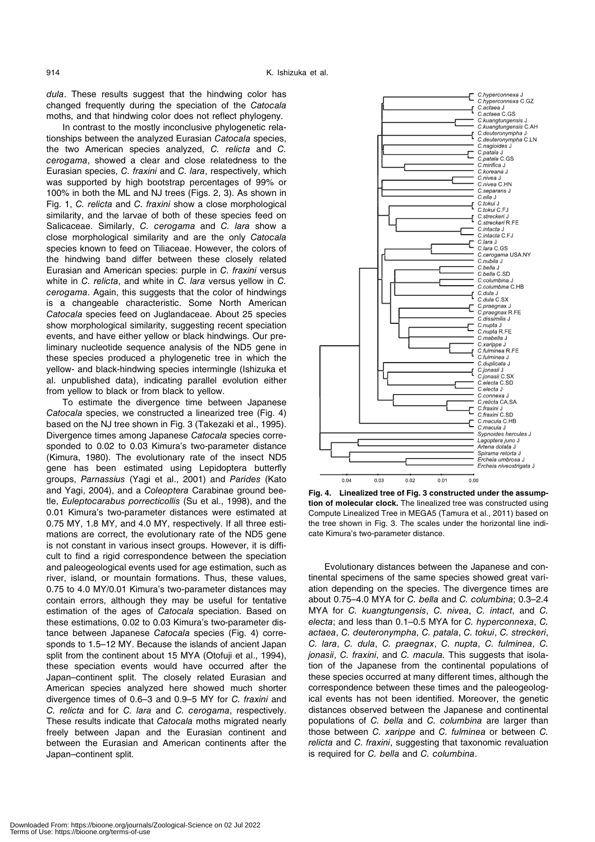dula. These results suggest that the hindwing color has changed frequently during the speciation of the Catocala moths, and that hindwing color does not reflect phylogeny.

In contrast to the mostly inconclusive phylogenetic relationships between the analyzed Eurasian Catocala species, the two American species analyzed, C. relicta and C. cerogama, showed a clear and close relatedness to the Eurasian species, C. fraxini and C. lara, respectively, which was supported by high bootstrap percentages of 99% or 100% in both the ML and NJ trees (Figs. 2, 3). As shown in Fig. 1, C. relicta and C. fraxini show a close morphological similarity, and the larvae of both of these species feed on Salicaceae. Similarly, C. cerogama and C. lara show a close morphological similarity and are the only Catocala species known to feed on Tiliaceae. However, the colors of the hindwing band differ between these closely related Eurasian and American species: purple in C. fraxini versus white in C. relicta, and white in C. lara versus yellow in C. cerogama. Again, this suggests that the color of hindwings is a changeable characteristic. Some North American Catocala species feed on Juglandaceae. About 25 species show morphological similarity, suggesting recent speciation events, and have either yellow or black hindwings. Our preliminary nucleotide sequence analysis of the ND5 gene in these species produced a phylogenetic tree in which the yellow- and black-hindwing species intermingle (Ishizuka et al. unpublished data), indicating parallel evolution either from yellow to black or from black to yellow.

To estimate the divergence time between Japanese Catocala species, we constructed a linearized tree (Fig. 4) based on the NJ tree shown in Fig. 3 (Takezaki et al., 1995). Divergence times among Japanese Catocala species corresponded to 0.02 to 0.03 Kimura's two-parameter distance (Kimura, 1980). The evolutionary rate of the insect ND5 gene has been estimated using Lepidoptera butterfly groups, Parnassius (Yagi et al., 2001) and Parides (Kato and Yagi, 2004), and a Coleoptera Carabinae ground beetle, Euleptocarabus porrecticollis (Su et al., 1998), and the 0.01 Kimura's two-parameter distances were estimated at 0.75 MY, 1.8 MY, and 4.0 MY, respectively. If all three estimations are correct, the evolutionary rate of the ND5 gene is not constant in various insect groups. However, it is difficult to find a rigid correspondence between the speciation and paleogeological events used for age estimation, such as river, island, or mountain formations. Thus, these values, 0.75 to 4.0 MY/0.01 Kimura's two-parameter distances may contain errors, although they may be useful for tentative estimation of the ages of Catocala speciation. Based on these estimations, 0.02 to 0.03 Kimura's two-parameter distance between Japanese Catocala species (Fig. 4) corresponds to 1.5–12 MY. Because the islands of ancient Japan split from the continent about 15 MYA (Otofuji et al., 1994), these speciation events would have occurred after the Japan–continent split. The closely related Eurasian and American species analyzed here showed much shorter divergence times of 0.6–3 and 0.9–5 MY for C. fraxini and C. relicta and for C. lara and C. cerogama, respectively. These results indicate that Catocala moths migrated nearly freely between Japan and the Eurasian continent and between the Eurasian and American continents after the Japan–continent split.



**Fig. 4. Linealized tree of Fig. 3 constructed under the assumption of molecular clock.** The linealized tree was constructed using Compute Linealized Tree in MEGA5 (Tamura et al., 2011) based on the tree shown in Fig. 3. The scales under the horizontal line indicate Kimura's two-parameter distance.

Evolutionary distances between the Japanese and continental specimens of the same species showed great variation depending on the species. The divergence times are about 0.75–4.0 MYA for C. bella and C. columbina; 0.3–2.4 MYA for C. kuangtungensis, C. nivea, C. intact, and C. electa; and less than 0.1–0.5 MYA for C. hyperconnexa, C. actaea, C. deuteronympha, C. patala, C. tokui, C. streckeri, C. lara, C. dula, C. praegnax, C. nupta, C. fulminea, C. jonasii, C. fraxini, and C. macula. This suggests that isolation of the Japanese from the continental populations of these species occurred at many different times, although the correspondence between these times and the paleogeological events has not been identified. Moreover, the genetic distances observed between the Japanese and continental populations of C. bella and C. columbina are larger than those between C. xarippe and C. fulminea or between C. relicta and C. fraxini, suggesting that taxonomic revaluation is required for C. bella and C. columbina.